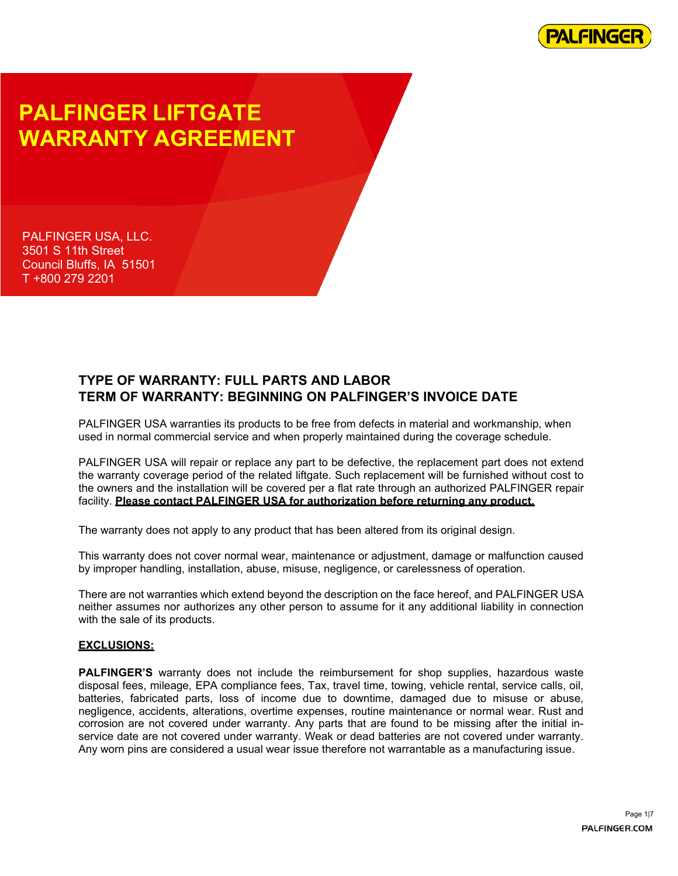

# **PALFINGER LIFTGATE WARRANTY AGREEMENT**

PALFINGER USA, LLC. 3501 S 11th Street Council Bluffs, IA 51501 T +800 279 2201

### **TYPE OF WARRANTY: FULL PARTS AND LABOR TERM OF WARRANTY: BEGINNING ON PALFINGER'S INVOICE DATE**

PALFINGER USA warranties its products to be free from defects in material and workmanship, when used in normal commercial service and when properly maintained during the coverage schedule.

PALFINGER USA will repair or replace any part to be defective, the replacement part does not extend the warranty coverage period of the related liftgate. Such replacement will be furnished without cost to the owners and the installation will be covered per a flat rate through an authorized PALFINGER repair facility. **Please contact PALFINGER USA for authorization before returning any product.**

The warranty does not apply to any product that has been altered from its original design.

This warranty does not cover normal wear, maintenance or adjustment, damage or malfunction caused by improper handling, installation, abuse, misuse, negligence, or carelessness of operation.

There are not warranties which extend beyond the description on the face hereof, and PALFINGER USA neither assumes nor authorizes any other person to assume for it any additional liability in connection with the sale of its products.

#### **EXCLUSIONS:**

**PALFINGER'S** warranty does not include the reimbursement for shop supplies, hazardous waste disposal fees, mileage, EPA compliance fees, Tax, travel time, towing, vehicle rental, service calls, oil, batteries, fabricated parts, loss of income due to downtime, damaged due to misuse or abuse, negligence, accidents, alterations, overtime expenses, routine maintenance or normal wear. Rust and corrosion are not covered under warranty. Any parts that are found to be missing after the initial inservice date are not covered under warranty. Weak or dead batteries are not covered under warranty. Any worn pins are considered a usual wear issue therefore not warrantable as a manufacturing issue.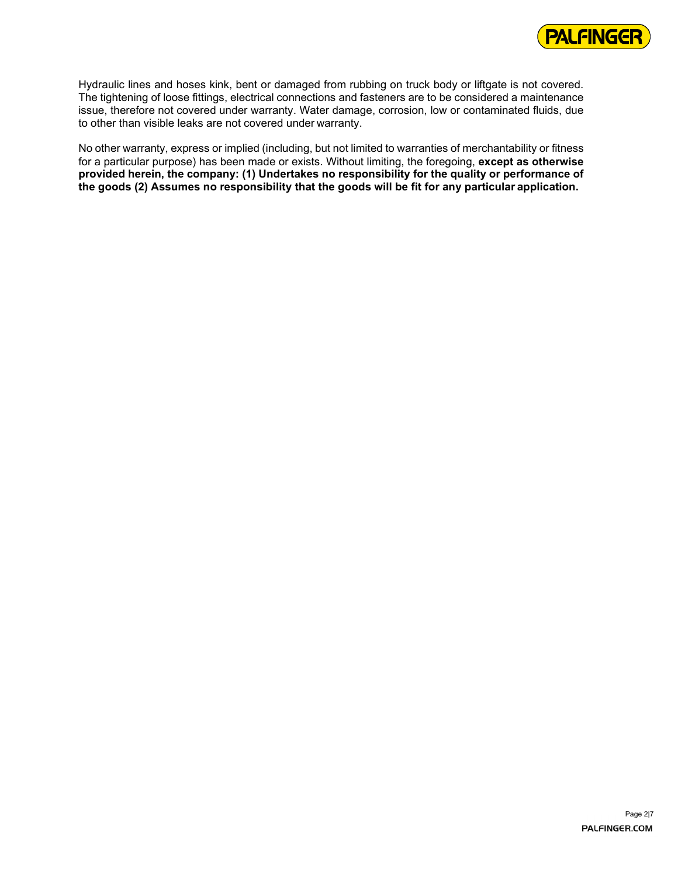

Hydraulic lines and hoses kink, bent or damaged from rubbing on truck body or liftgate is not covered. The tightening of loose fittings, electrical connections and fasteners are to be considered a maintenance issue, therefore not covered under warranty. Water damage, corrosion, low or contaminated fluids, due to other than visible leaks are not covered under warranty.

No other warranty, express or implied (including, but not limited to warranties of merchantability or fitness for a particular purpose) has been made or exists. Without limiting, the foregoing, **except as otherwise provided herein, the company: (1) Undertakes no responsibility for the quality or performance of the goods (2) Assumes no responsibility that the goods will be fit for any particular application.**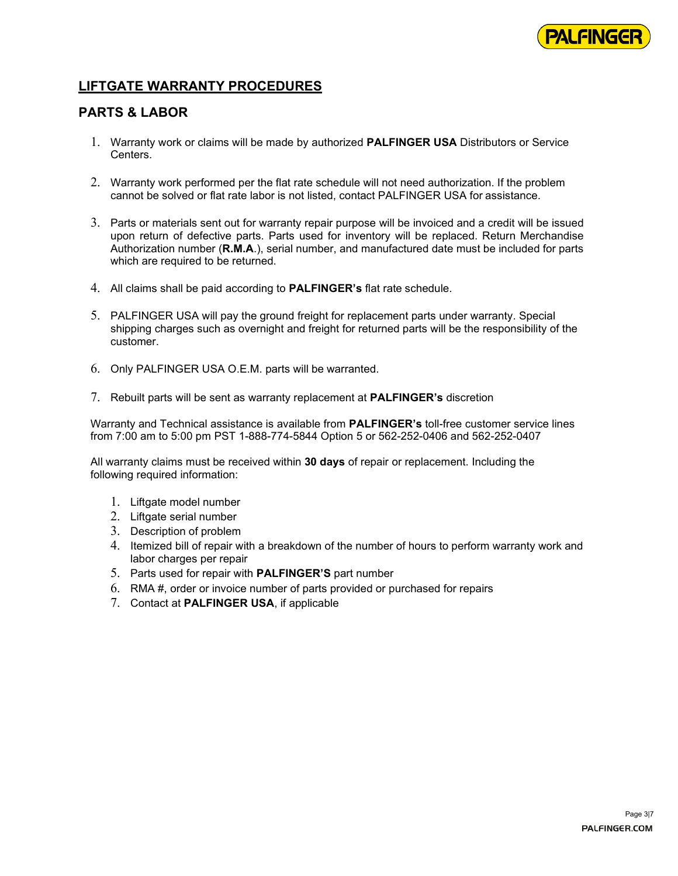

### **LIFTGATE WARRANTY PROCEDURES**

#### **PARTS & LABOR**

- 1. Warranty work or claims will be made by authorized **PALFINGER USA** Distributors or Service **Centers**
- 2. Warranty work performed per the flat rate schedule will not need authorization. If the problem cannot be solved or flat rate labor is not listed, contact PALFINGER USA for assistance.
- 3. Parts or materials sent out for warranty repair purpose will be invoiced and a credit will be issued upon return of defective parts. Parts used for inventory will be replaced. Return Merchandise Authorization number (**R.M.A**.), serial number, and manufactured date must be included for parts which are required to be returned.
- 4. All claims shall be paid according to **PALFINGER's** flat rate schedule.
- 5. PALFINGER USA will pay the ground freight for replacement parts under warranty. Special shipping charges such as overnight and freight for returned parts will be the responsibility of the customer.
- 6. Only PALFINGER USA O.E.M. parts will be warranted.
- 7. Rebuilt parts will be sent as warranty replacement at **PALFINGER's** discretion

Warranty and Technical assistance is available from **PALFINGER's** toll-free customer service lines from 7:00 am to 5:00 pm PST 1-888-774-5844 Option 5 or 562-252-0406 and 562-252-0407

All warranty claims must be received within **30 days** of repair or replacement. Including the following required information:

- 1. Liftgate model number
- 2. Liftgate serial number
- 3. Description of problem
- 4. Itemized bill of repair with a breakdown of the number of hours to perform warranty work and labor charges per repair
- 5. Parts used for repair with **PALFINGER'S** part number
- 6. RMA #, order or invoice number of parts provided or purchased for repairs
- 7. Contact at **PALFINGER USA**, if applicable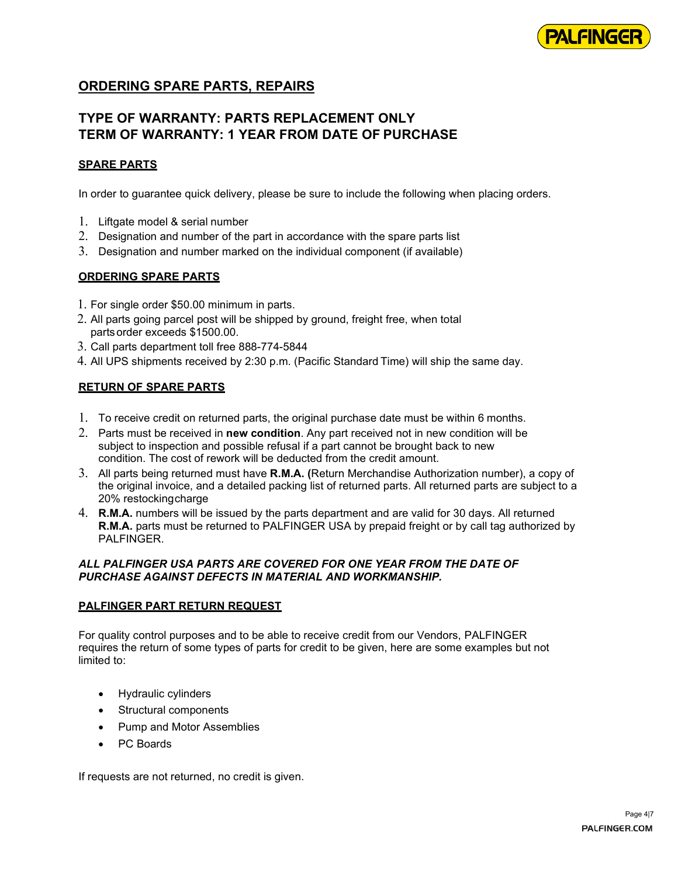

### **ORDERING SPARE PARTS, REPAIRS**

### **TYPE OF WARRANTY: PARTS REPLACEMENT ONLY TERM OF WARRANTY: 1 YEAR FROM DATE OF PURCHASE**

#### **SPARE PARTS**

In order to guarantee quick delivery, please be sure to include the following when placing orders.

- 1. Liftgate model & serial number
- 2. Designation and number of the part in accordance with the spare parts list
- 3. Designation and number marked on the individual component (if available)

#### **ORDERING SPARE PARTS**

- 1. For single order \$50.00 minimum in parts.
- 2. All parts going parcel post will be shipped by ground, freight free, when total partsorder exceeds \$1500.00.
- 3. Call parts department toll free 888-774-5844
- 4. All UPS shipments received by 2:30 p.m. (Pacific Standard Time) will ship the same day.

#### **RETURN OF SPARE PARTS**

- 1. To receive credit on returned parts, the original purchase date must be within 6 months.
- 2. Parts must be received in **new condition**. Any part received not in new condition will be subject to inspection and possible refusal if a part cannot be brought back to new condition. The cost of rework will be deducted from the credit amount.
- 3. All parts being returned must have **R.M.A. (**Return Merchandise Authorization number), a copy of the original invoice, and a detailed packing list of returned parts. All returned parts are subject to a 20% restockingcharge
- 4. **R.M.A.** numbers will be issued by the parts department and are valid for 30 days. All returned **R.M.A.** parts must be returned to PALFINGER USA by prepaid freight or by call tag authorized by PALFINGER

#### *ALL PALFINGER USA PARTS ARE COVERED FOR ONE YEAR FROM THE DATE OF PURCHASE AGAINST DEFECTS IN MATERIAL AND WORKMANSHIP.*

#### **PALFINGER PART RETURN REQUEST**

For quality control purposes and to be able to receive credit from our Vendors, PALFINGER requires the return of some types of parts for credit to be given, here are some examples but not limited to:

- Hydraulic cylinders
- Structural components
- Pump and Motor Assemblies
- PC Boards

If requests are not returned, no credit is given.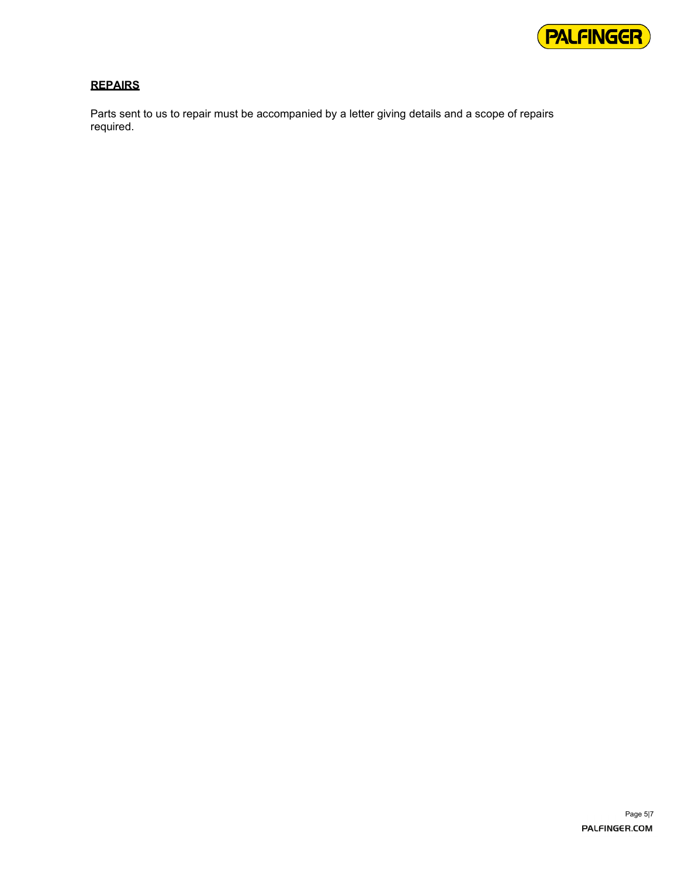

### **REPAIRS**

Parts sent to us to repair must be accompanied by a letter giving details and a scope of repairs required.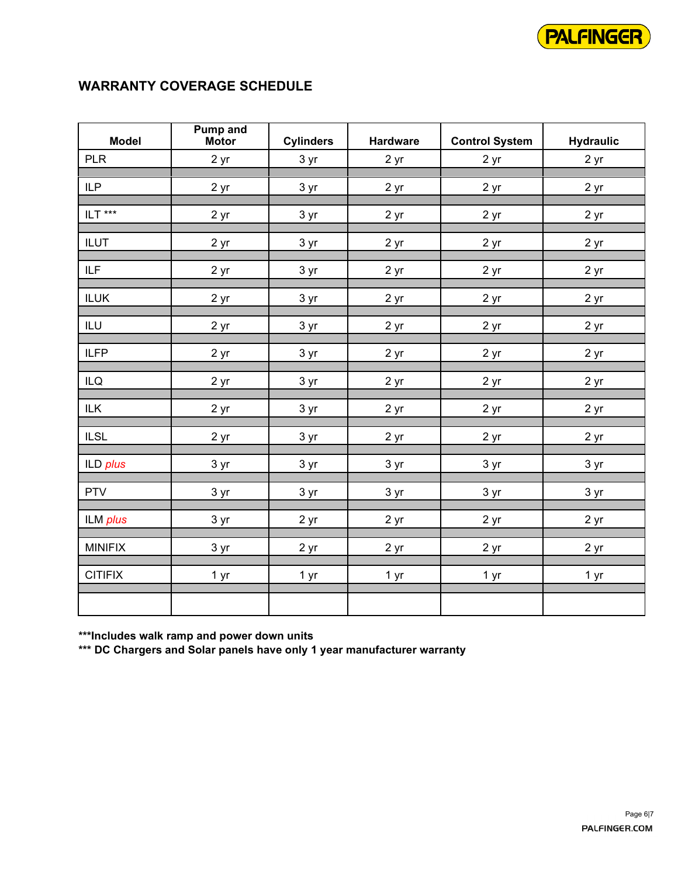

## **WARRANTY COVERAGE SCHEDULE**

| <b>Model</b>   | <b>Pump and</b><br><b>Motor</b> | <b>Cylinders</b>   | <b>Hardware</b>    | <b>Control System</b> | <b>Hydraulic</b>   |  |  |
|----------------|---------------------------------|--------------------|--------------------|-----------------------|--------------------|--|--|
| <b>PLR</b>     | 2 yr                            | 3 yr               | 2 yr               | 2 yr                  | 2 yr               |  |  |
| <b>ILP</b>     | 2 yr                            | 3 yr               | $2 \underline{yr}$ | 2 yr                  | 2 yr               |  |  |
| ILT ***        | 2 yr                            | 3 yr               | 2 <sub>yr</sub>    | 2 yr                  | 2 <sub>yr</sub>    |  |  |
| <b>ILUT</b>    | 2 yr                            | 3 yr               | 2 yr               | 2 yr                  | 2 yr               |  |  |
| <b>ILF</b>     | 2 yr                            | 3 yr               | 2 yr               | 2 yr                  | $2 \underline{yr}$ |  |  |
| <b>ILUK</b>    | $2 \underline{yr}$              | 3 yr               | $2 \underline{yr}$ | 2 <sub>yr</sub>       | $2 \underline{yr}$ |  |  |
| $\mathsf{ILU}$ | 2 yr                            | 3 yr               | $2 \underline{yr}$ | 2 yr                  | $2 \underline{yr}$ |  |  |
| <b>ILFP</b>    | 2 yr                            | 3 yr               | 2 <sub>yr</sub>    | 2 yr                  | 2 yr               |  |  |
| ILQ            | 2 yr                            | 3 yr               | 2 yr               | 2 yr                  | 2 <sub>yr</sub>    |  |  |
| ILK            | 2 yr                            | 3 yr               | 2 <sub>yr</sub>    | 2 yr                  | 2 <sub>yr</sub>    |  |  |
| <b>ILSL</b>    | 2 <sub>yr</sub>                 | $3 \underline{yr}$ | $2 \underline{yr}$ | 2 yr                  | 2 yr               |  |  |
| ILD plus       | 3 yr                            | 3 yr               | 3 yr               | 3 yr                  | 3 yr               |  |  |
| <b>PTV</b>     | 3 yr                            | 3 yr               | $3 \underline{yr}$ | 3 yr                  | $3 \text{ yr}$     |  |  |
| ILM plus       | 3 yr                            | 2 yr               | 2 <sub>yr</sub>    | 2 yr                  | 2 yr               |  |  |
| <b>MINIFIX</b> | 3 yr                            | 2 yr               | 2 <sub>yr</sub>    | 2 yr                  | 2 yr               |  |  |
| <b>CITIFIX</b> | 1 yr                            | 1 yr               | 1 yr               | 1 yr                  | 1 yr               |  |  |
|                |                                 |                    |                    |                       |                    |  |  |

**\*\*\*Includes walk ramp and power down units**

**\*\*\* DC Chargers and Solar panels have only 1 year manufacturer warranty**